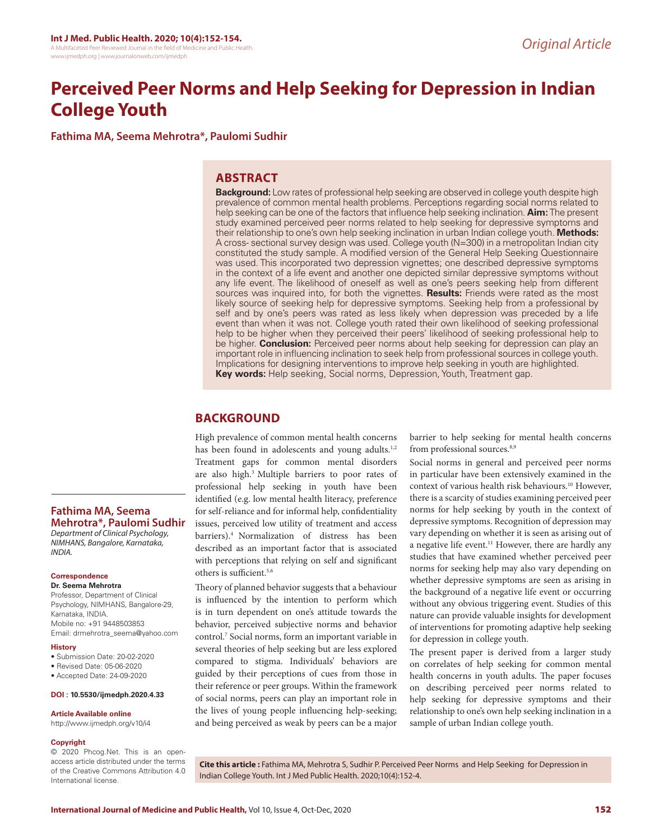# **Perceived Peer Norms and Help Seeking for Depression in Indian College Youth**

**Fathima MA, Seema Mehrotra\*, Paulomi Sudhir**

## **ABSTRACT**

**Background:** Low rates of professional help seeking are observed in college youth despite high prevalence of common mental health problems. Perceptions regarding social norms related to help seeking can be one of the factors that influence help seeking inclination. **Aim:** The present study examined perceived peer norms related to help seeking for depressive symptoms and their relationship to one's own help seeking inclination in urban Indian college youth. **Methods:**  A cross- sectional survey design was used. College youth (N=300) in a metropolitan Indian city constituted the study sample. A modified version of the General Help Seeking Questionnaire was used. This incorporated two depression vignettes; one described depressive symptoms in the context of a life event and another one depicted similar depressive symptoms without any life event. The likelihood of oneself as well as one's peers seeking help from different sources was inquired into, for both the vignettes. **Results:** Friends were rated as the most likely source of seeking help for depressive symptoms. Seeking help from a professional by self and by one's peers was rated as less likely when depression was preceded by a life event than when it was not. College youth rated their own likelihood of seeking professional help to be higher when they perceived their peers' likelihood of seeking professional help to be higher. **Conclusion:** Perceived peer norms about help seeking for depression can play an important role in influencing inclination to seek help from professional sources in college youth. Implications for designing interventions to improve help seeking in youth are highlighted. **Key words:** Help seeking, Social norms, Depression, Youth, Treatment gap.

# **BACKGROUND**

High prevalence of common mental health concerns has been found in adolescents and young adults.<sup>1,2</sup> Treatment gaps for common mental disorders are also high.3 Multiple barriers to poor rates of professional help seeking in youth have been identified (e.g. low mental health literacy, preference for self-reliance and for informal help, confidentiality issues, perceived low utility of treatment and access barriers).4 Normalization of distress has been described as an important factor that is associated with perceptions that relying on self and significant others is sufficient.5,6

Theory of planned behavior suggests that a behaviour is influenced by the intention to perform which is in turn dependent on one's attitude towards the behavior, perceived subjective norms and behavior control.7 Social norms, form an important variable in several theories of help seeking but are less explored compared to stigma. Individuals' behaviors are guided by their perceptions of cues from those in their reference or peer groups. Within the framework of social norms, peers can play an important role in the lives of young people influencing help-seeking; and being perceived as weak by peers can be a major

barrier to help seeking for mental health concerns from professional sources.<sup>8,9</sup>

Social norms in general and perceived peer norms in particular have been extensively examined in the context of various health risk behaviours.10 However, there is a scarcity of studies examining perceived peer norms for help seeking by youth in the context of depressive symptoms. Recognition of depression may vary depending on whether it is seen as arising out of a negative life event.<sup>11</sup> However, there are hardly any studies that have examined whether perceived peer norms for seeking help may also vary depending on whether depressive symptoms are seen as arising in the background of a negative life event or occurring without any obvious triggering event. Studies of this nature can provide valuable insights for development of interventions for promoting adaptive help seeking for depression in college youth.

The present paper is derived from a larger study on correlates of help seeking for common mental health concerns in youth adults. The paper focuses on describing perceived peer norms related to help seeking for depressive symptoms and their relationship to one's own help seeking inclination in a sample of urban Indian college youth.

**Mehrotra\*, Paulomi Sudhir** *Department of Clinical Psychology, NIMHANS, Bangalore, Karnataka, INDIA.*

**Fathima MA, Seema** 

#### **Correspondence**

**Dr. Seema Mehrotra**

Professor, Department of Clinical Psychology, NIMHANS, Bangalore-29, Karnataka, INDIA. Mobile no: +91 9448503853 Email: drmehrotra\_seema@yahoo.com

#### **History**

- Submission Date: 20-02-2020
- Revised Date: 05-06-2020
- Accepted Date: 24-09-2020

**DOI : 10.5530/ijmedph.2020.4.33**

#### **Article Available online**

http://www.ijmedph.org/v10/i4

#### **Copyright**

© 2020 Phcog.Net. This is an openaccess article distributed under the terms of the Creative Commons Attribution 4.0 International license.

**Cite this article :** Fathima MA, Mehrotra S, Sudhir P. Perceived Peer Norms and Help Seeking for Depression in Indian College Youth. Int J Med Public Health. 2020;10(4):152-4.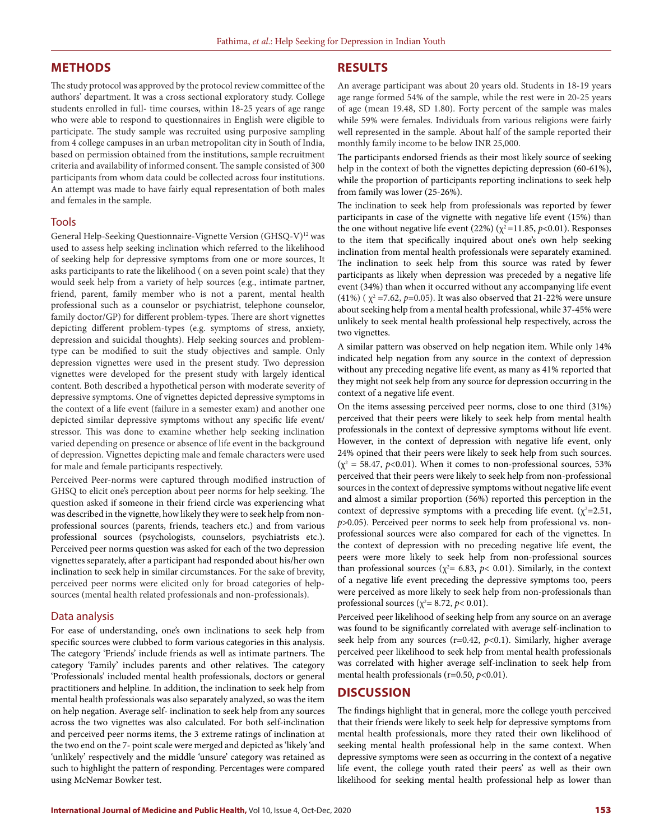## **METHODS**

The study protocol was approved by the protocol review committee of the authors' department. It was a cross sectional exploratory study. College students enrolled in full- time courses, within 18-25 years of age range who were able to respond to questionnaires in English were eligible to participate. The study sample was recruited using purposive sampling from 4 college campuses in an urban metropolitan city in South of India, based on permission obtained from the institutions, sample recruitment criteria and availability of informed consent. The sample consisted of 300 participants from whom data could be collected across four institutions. An attempt was made to have fairly equal representation of both males and females in the sample.

#### Tools

General Help-Seeking Questionnaire-Vignette Version (GHSQ-V)<sup>12</sup> was used to assess help seeking inclination which referred to the likelihood of seeking help for depressive symptoms from one or more sources, It asks participants to rate the likelihood ( on a seven point scale) that they would seek help from a variety of help sources (e.g., intimate partner, friend, parent, family member who is not a parent, mental health professional such as a counselor or psychiatrist, telephone counselor, family doctor/GP) for different problem-types. There are short vignettes depicting different problem-types (e.g. symptoms of stress, anxiety, depression and suicidal thoughts). Help seeking sources and problemtype can be modified to suit the study objectives and sample. Only depression vignettes were used in the present study. Two depression vignettes were developed for the present study with largely identical content. Both described a hypothetical person with moderate severity of depressive symptoms. One of vignettes depicted depressive symptoms in the context of a life event (failure in a semester exam) and another one depicted similar depressive symptoms without any specific life event/ stressor. This was done to examine whether help seeking inclination varied depending on presence or absence of life event in the background of depression. Vignettes depicting male and female characters were used for male and female participants respectively.

Perceived Peer-norms were captured through modified instruction of GHSQ to elicit one's perception about peer norms for help seeking. The question asked if someone in their friend circle was experiencing what was described in the vignette, how likely they were to seek help from nonprofessional sources (parents, friends, teachers etc.) and from various professional sources (psychologists, counselors, psychiatrists etc.). Perceived peer norms question was asked for each of the two depression vignettes separately, after a participant had responded about his/her own inclination to seek help in similar circumstances. For the sake of brevity, perceived peer norms were elicited only for broad categories of helpsources (mental health related professionals and non-professionals).

#### Data analysis

For ease of understanding, one's own inclinations to seek help from specific sources were clubbed to form various categories in this analysis. The category 'Friends' include friends as well as intimate partners. The category 'Family' includes parents and other relatives. The category 'Professionals' included mental health professionals, doctors or general practitioners and helpline. In addition, the inclination to seek help from mental health professionals was also separately analyzed, so was the item on help negation. Average self- inclination to seek help from any sources across the two vignettes was also calculated. For both self-inclination and perceived peer norms items, the 3 extreme ratings of inclination at the two end on the 7- point scale were merged and depicted as 'likely 'and 'unlikely' respectively and the middle 'unsure' category was retained as such to highlight the pattern of responding. Percentages were compared using McNemar Bowker test.

### **RESULTS**

An average participant was about 20 years old. Students in 18-19 years age range formed 54% of the sample, while the rest were in 20-25 years of age (mean 19.48, SD 1.80). Forty percent of the sample was males while 59% were females. Individuals from various religions were fairly well represented in the sample. About half of the sample reported their monthly family income to be below INR 25,000.

The participants endorsed friends as their most likely source of seeking help in the context of both the vignettes depicting depression (60-61%), while the proportion of participants reporting inclinations to seek help from family was lower (25-26%).

The inclination to seek help from professionals was reported by fewer participants in case of the vignette with negative life event (15%) than the one without negative life event (22%) ( $\chi^2$ =11.85, *p*<0.01). Responses to the item that specifically inquired about one's own help seeking inclination from mental health professionals were separately examined. The inclination to seek help from this source was rated by fewer participants as likely when depression was preceded by a negative life event (34%) than when it occurred without any accompanying life event (41%) ( $\chi^2$  =7.62, *p*=0.05). It was also observed that 21-22% were unsure about seeking help from a mental health professional, while 37-45% were unlikely to seek mental health professional help respectively, across the two vignettes.

A similar pattern was observed on help negation item. While only 14% indicated help negation from any source in the context of depression without any preceding negative life event, as many as 41% reported that they might not seek help from any source for depression occurring in the context of a negative life event.

On the items assessing perceived peer norms, close to one third (31%) perceived that their peers were likely to seek help from mental health professionals in the context of depressive symptoms without life event. However, in the context of depression with negative life event, only 24% opined that their peers were likely to seek help from such sources.  $(\chi^2 = 58.47, p<0.01)$ . When it comes to non-professional sources, 53% perceived that their peers were likely to seek help from non-professional sources in the context of depressive symptoms without negative life event and almost a similar proportion (56%) reported this perception in the context of depressive symptoms with a preceding life event.  $(\chi^2=2.51,$ *p*>0.05). Perceived peer norms to seek help from professional vs. nonprofessional sources were also compared for each of the vignettes. In the context of depression with no preceding negative life event, the peers were more likely to seek help from non-professional sources than professional sources ( $\chi^2$  = 6.83,  $p$  < 0.01). Similarly, in the context of a negative life event preceding the depressive symptoms too, peers were perceived as more likely to seek help from non-professionals than professional sources ( $\chi^2$ = 8.72, *p*< 0.01).

Perceived peer likelihood of seeking help from any source on an average was found to be significantly correlated with average self-inclination to seek help from any sources ( $r=0.42$ ,  $p<0.1$ ). Similarly, higher average perceived peer likelihood to seek help from mental health professionals was correlated with higher average self-inclination to seek help from mental health professionals (r=0.50, *p*<0.01).

## **DISCUSSION**

The findings highlight that in general, more the college youth perceived that their friends were likely to seek help for depressive symptoms from mental health professionals, more they rated their own likelihood of seeking mental health professional help in the same context. When depressive symptoms were seen as occurring in the context of a negative life event, the college youth rated their peers' as well as their own likelihood for seeking mental health professional help as lower than